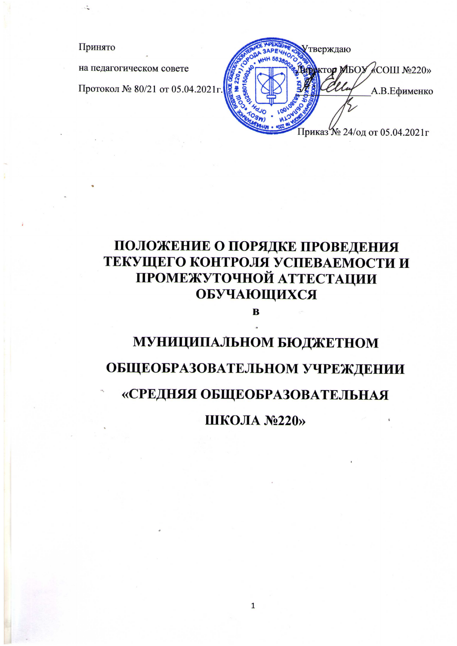Принято

на педагогическом совете

Протокол № 80/21 от 05.04.2021г.

тверждаю KTOP MISOY <COIII Nº220>> А.В.Ефименко Приказ № 24/од от 05.04.2021г

# ПОЛОЖЕНИЕ О ПОРЯДКЕ ПРОВЕДЕНИЯ ТЕКУЩЕГО КОНТРОЛЯ УСПЕВАЕМОСТИ И ПРОМЕЖУТОЧНОЙ АТТЕСТАЦИИ ОБУЧАЮЩИХСЯ

 $\overline{\mathbf{B}}$ 

## МУНИЦИПАЛЬНОМ БЮДЖЕТНОМ

# ОБЩЕОБРАЗОВАТЕЛЬНОМ УЧРЕЖДЕНИИ

### «СРЕДНЯЯ ОБЩЕОБРАЗОВАТЕЛЬНАЯ

ШКОЛА №220»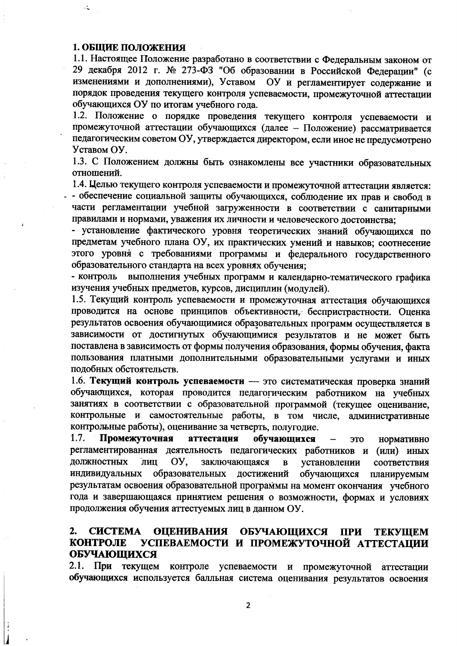#### 1. ОБЩИЕ ПОЛОЖЕНИЯ

1.1. Настоящее Положение разработано в соответствии с Федеральным законом от 29 декабря 2012 г. № 273-ФЗ "Об образовании в Российской Федерации" (с изменениями и дополнениями), Уставом ОУ и регламентирует содержание и порядок проведения текущего контроля успеваемости, промежуточной аттестации обучающихся ОУ по итогам учебного года.

1.2. Положение о порядке проведения текущего контроля успеваемости и промежуточной аттестации обучающихся (далее - Положение) рассматривается педагогическим советом ОУ, утверждается директором, если иное не предусмотрено Уставом ОУ.

1.3. С Положением должны быть ознакомлены все участники образовательных отношений.

1.4. Целью текущего контроля успеваемости и промежуточной аттестации является: - обеспечение социальной защиты обучающихся, соблюдение их прав и свобод в части регламентации учебной загруженности в соответствии с санитарными правилами и нормами, уважения их личности и человеческого достоинства;

- установление фактического уровня теоретических знаний обучающихся по предметам учебного плана ОУ, их практических умений и навыков; соотнесение этого уровня с требованиями программы и федерального государственного образовательного стандарта на всех уровнях обучения;

- контроль выполнения учебных программ и календарно-тематического графика изучения учебных предметов, курсов, дисциплин (модулей).

1.5. Текущий контроль успеваемости и промежуточная аттестация обучающихся проводится на основе принципов объективности, беспристрастности. Оценка результатов освоения обучающимися образовательных программ осуществляется в зависимости от достигнутых обучающимися результатов и не может быть поставлена в зависимость от формы получения образования, формы обучения, факта пользования платными дополнительными образовательными услугами и иных подобных обстоятельств.

1.6. Текущий контроль успеваемости - это систематическая проверка знаний обучающихся, которая проводится педагогическим работником на учебных занятиях в соответствии с образовательной программой (текущее оценивание, контрольные и самостоятельные работы, в том числе, административные контрольные работы), оценивание за четверть, полугодие.

 $1.7.$ Промежуточная аттестация обучающихся ЭТО нормативно регламентированная деятельность педагогических работников и (или) иных ДОЛЖНОСТНЫХ лип OY. заключающаяся установлении  $\, {\bf B}$ соответствия индивидуальных образовательных достижений обучающихся планируемым результатам освоения образовательной программы на момент окончания учебного года и завершающаяся принятием решения о возможности, формах и условиях продолжения обучения аттестуемых лиц в данном ОУ.

#### $2.$ **CHCTEMA ОЦЕНИВАНИЯ** ОБУЧАЮЩИХСЯ ПРИ **ТЕКУЩЕМ** УСПЕВАЕМОСТИ И ПРОМЕЖУТОЧНОЙ АТТЕСТАЦИИ **КОНТРОЛЕ ОБУЧАЮЩИХСЯ**

2.1. При текущем контроле успеваемости и промежуточной аттестации обучающихся используется балльная система оценивания результатов освоения

 $\overline{2}$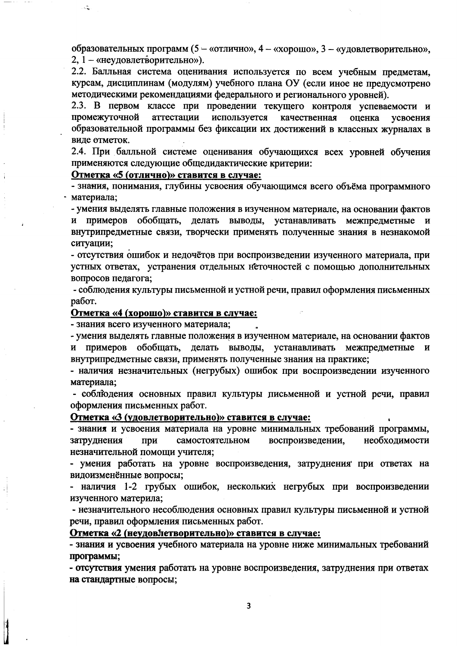образовательных программ (5 - «отлично», 4 - «хорошо», 3 - «удовлетворительно», 2, 1 - «неудовлетворительно»).

2.2. Балльная система оценивания используется по всем учебным предметам, курсам, дисциплинам (модулям) учебного плана ОУ (если иное не предусмотрено методическими рекомендациями федерального и регионального уровней).

2.3. В первом классе при проведении текущего контроля успеваемости и промежуточной аттестации используется качественная оценка усвоения образовательной программы без фиксации их достижений в классных журналах в виле отметок.

2.4. При балльной системе оценивания обучающихся всех уровней обучения применяются следующие общедидактические критерии:

Отметка «5 (отлично)» ставится в случае:

- знания, понимания, глубины усвоения обучающимся всего объёма программного материала;

- умения выделять главные положения в изученном материале, на основании фактов и примеров обобщать, делать выводы, устанавливать межпредметные и внутрипредметные связи, творчески применять полученные знания в незнакомой ситуации;

- отсутствия ошибок и недочётов при воспроизведении изученного материала, при устных ответах, устранения отдельных неточностей с помощью дополнительных вопросов педагога;

- соблюдения культуры письменной и устной речи, правил оформления письменных работ.

#### Отметка «4 (хорошо)» ставится в случае:

- знания всего изученного материала;

- умения выделять главные положения в изученном материале, на основании фактов и примеров обобщать, делать выводы, устанавливать межпредметные и внутрипредметные связи, применять полученные знания на практике;

- наличия незначительных (негрубых) ошибок при воспроизведении изученного материала;

- соблюдения основных правил культуры письменной и устной речи, правил оформления письменных работ.

#### Отметка «З (удовлетворительно)» ставится в случае:

- знания и усвоения материала на уровне минимальных требований программы, затруднения самостоятельном воспроизведении, необходимости при незначительной помощи учителя;

- умения работать на уровне воспроизведения, затруднения при ответах на видоизменённые вопросы;

- наличия 1-2 грубых ошибок, нескольких негрубых при воспроизведении изученного материла;

- незначительного несоблюдения основных правил культуры письменной и устной речи, правил оформления письменных работ.

#### Отметка «2 (неудовлетворительно)» ставится в случае:

- знания и усвоения учебного материала на уровне ниже минимальных требований программы;

- отсутствия умения работать на уровне воспроизведения, затруднения при ответах на стандартные вопросы;

3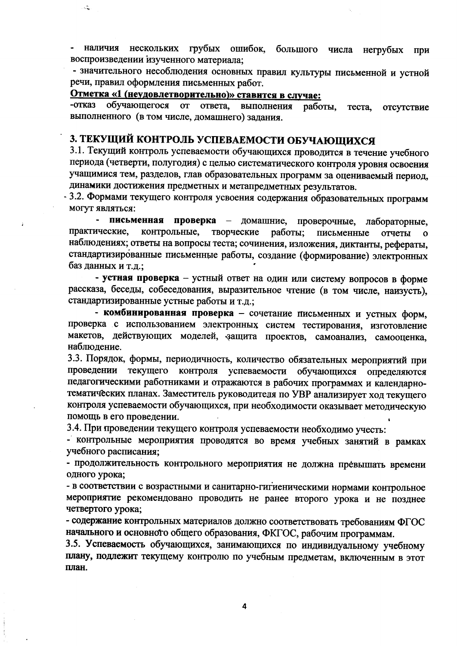наличия нескольких грубых ошибок, большого числа негрубых При воспроизведении изученного материала:

- значительного несоблюдения основных правил культуры письменной и устной речи, правил оформления письменных работ.

#### Отметка «1 (неудовлетворительно)» ставится в случае:

 $\mathcal{L}$ 

-отказ обучающегося **OT** ответа. выполнения работы. теста. отсутствие выполненного (в том числе, домашнего) задания.

### 3. ТЕКУЩИЙ КОНТРОЛЬ УСПЕВАЕМОСТИ ОБУЧАЮЩИХСЯ

3.1. Текущий контроль успеваемости обучающихся проводится в течение учебного периода (четверти, полугодия) с целью систематического контроля уровня освоения учащимися тем, разделов, глав образовательных программ за оцениваемый период, динамики достижения предметных и метапредметных результатов.

3.2. Формами текущего контроля усвоения содержания образовательных программ могут являться:

письменная проверка - домашние, проверочные, лабораторные. практические. контрольные. творческие работы: письменные отчеты  $\mathbf{o}$ наблюдениях; ответы на вопросы теста; сочинения, изложения, диктанты, рефераты, стандартизированные письменные работы, создание (формирование) электронных баз данных и т.д.;

- устная проверка - устный ответ на один или систему вопросов в форме рассказа, беседы, собеседования, выразительное чтение (в том числе, наизусть), стандартизированные устные работы и т.д.;

- комбинированная проверка - сочетание письменных и устных форм, проверка с использованием электронных систем тестирования, изготовление макетов, действующих моделей, защита проектов, самоанализ, самооценка, наблюдение.

3.3. Порядок, формы, периодичность, количество обязательных мероприятий при проведении текущего контроля успеваемости обучающихся определяются педагогическими работниками и отражаются в рабочих программах и календарнотематических планах. Заместитель руководителя по УВР анализирует ход текущего контроля успеваемости обучающихся, при необходимости оказывает методическую помощь в его проведении.

3.4. При проведении текущего контроля успеваемости необходимо учесть:

- контрольные мероприятия проводятся во время учебных занятий в рамках учебного расписания;

- продолжительность контрольного мероприятия не должна превышать времени одного урока;

- в соответствии с возрастными и санитарно-гигиеническими нормами контрольное мероприятие рекомендовано проводить не ранее второго урока и не позднее четвертого урока;

- содержание контрольных материалов должно соответствовать требованиям ФГОС начального и основното общего образования, ФКГОС, рабочим программам.

3.5. Успеваемость обучающихся, занимающихся по индивидуальному учебному плану, подлежит текущему контролю по учебным предметам, включенным в этот план.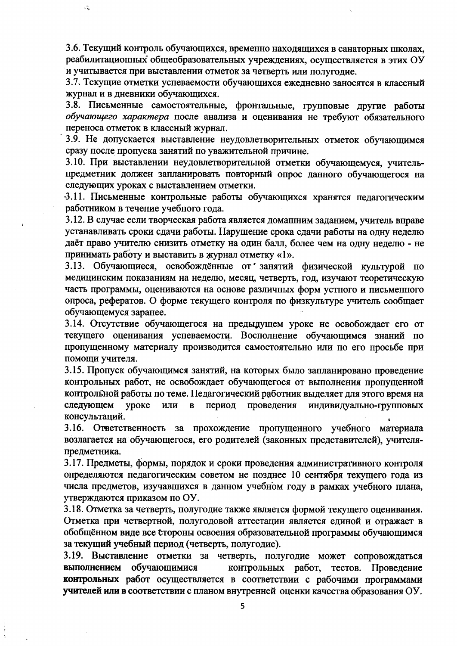3.6. Текущий контроль обучающихся, временно находящихся в санаторных школах, реабилитационных общеобразовательных учреждениях, осуществляется в этих ОУ и учитывается при выставлении отметок за четверть или полугодие.

 $\ddot{\cdot}$ 

3.7. Текущие отметки успеваемости обучающихся ежедневно заносятся в классный журнал и в дневники обучающихся.

3.8. Письменные самостоятельные, фронтальные, групповые другие работы обучающего характера после анализа и оценивания не требуют обязательного переноса отметок в классный журнал.

3.9. Не допускается выставление неудовлетворительных отметок обучающимся сразу после пропуска занятий по уважительной причине.

3.10. При выставлении неудовлетворительной отметки обучающемуся, учительпредметник должен запланировать повторный опрос данного обучающегося на следующих уроках с выставлением отметки.

3.11. Письменные контрольные работы обучающихся хранятся педагогическим работником в течение учебного года.

3.12. В случае если творческая работа является домашним заданием, учитель вправе устанавливать сроки сдачи работы. Нарушение срока сдачи работы на одну неделю даёт право учителю снизить отметку на один балл, более чем на одну неделю - не принимать работу и выставить в журнал отметку «1».

3.13. Обучающиеся, освобождённые от занятий физической культурой по медицинским показаниям на неделю, месяц, четверть, год, изучают теоретическую часть программы, оцениваются на основе различных форм устного и письменного опроса, рефератов. О форме текущего контроля по физкультуре учитель сообщает обучающемуся заранее.

3.14. Отсутствие обучающегося на предыдущем уроке не освобождает его от текущего оценивания успеваемости. Восполнение обучающимся знаний по пропущенному материалу производится самостоятельно или по его просьбе при помощи учителя.

3.15. Пропуск обучающимся занятий, на которых было запланировано проведение контрольных работ, не освобождает обучающегося от выполнения пропущенной контрольной работы по теме. Педагогический работник выделяет для этого время на следующем проведения уроке ИЛИ  $\mathbf{B}$ период индивидуально-групповых консультаций.

3.16. Ответственность за прохождение пропущенного учебного материала возлагается на обучающегося, его родителей (законных представителей), учителяпредметника.

3.17. Предметы, формы, порядок и сроки проведения административного контроля определяются педагогическим советом не позднее 10 сентября текущего года из числа предметов, изучавшихся в данном учебном году в рамках учебного плана, утверждаются приказом по ОУ.

3.18. Отметка за четверть, полугодие также является формой текущего оценивания. Отметка при четвертной, полугодовой аттестации является единой и отражает в обобщённом виде все стороны освоения образовательной программы обучающимся за текущий учебный период (четверть, полугодие).

3.19. Выставление отметки за четверть, полугодие может сопровождаться выполнением обучающимися контрольных работ, тестов. Проведение контрольных работ осуществляется в соответствии с рабочими программами учителей или в соответствии с планом внутренней оценки качества образования ОУ.

5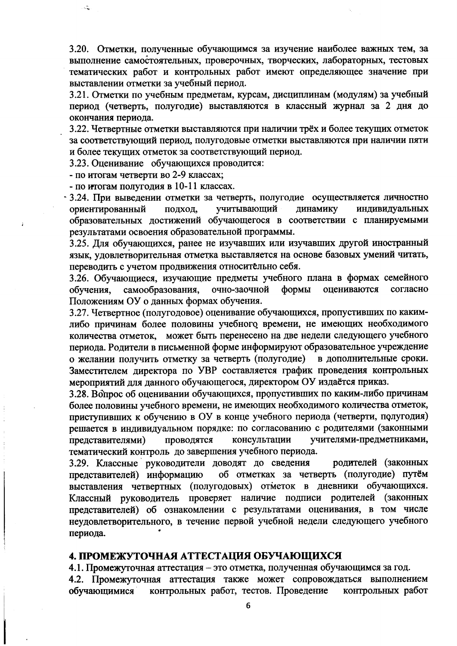3.20. Отметки, полученные обучающимся за изучение наиболее важных тем, за выполнение самостоятельных, проверочных, творческих, лабораторных, тестовых тематических работ и контрольных работ имеют определяющее значение при выставлении отметки за учебный период.

3.21. Отметки по учебным предметам, курсам, дисциплинам (модулям) за учебный период (четверть, полугодие) выставляются в классный журнал за 2 дня до окончания периода.

3.22. Четвертные отметки выставляются при наличии трёх и более текущих отметок за соответствующий период, полугодовые отметки выставляются при наличии пяти и более текущих отметок за соответствующий период.

3.23. Оценивание обучающихся проводится:

- по итогам четверти во 2-9 классах;

 $\mathbf{r}$ 

- по итогам полугодия в 10-11 классах.

3.24. При выведении отметки за четверть, полугодие осуществляется личностно учитывающий динамику ориентированный подход, индивидуальных образовательных достижений обучающегося в соответствии с планируемыми результатами освоения образовательной программы.

3.25. Для обучающихся, ранее не изучавших или изучавших другой иностранный язык, удовлетворительная отметка выставляется на основе базовых умений читать, переводить с учетом продвижения относительно себя.

3.26. Обучающиеся, изучающие предметы учебного плана в формах семейного самообразования, очно-заочной формы оцениваются согласно обучения. Положениям ОУ о данных формах обучения.

3.27. Четвертное (полугодовое) оценивание обучающихся, пропустивших по какимлибо причинам более половины учебного времени, не имеющих необходимого количества отметок, может быть перенесено на две недели следующего учебного периода. Родители в письменной форме информируют образовательное учреждение о желании получить отметку за четверть (полугодие) в дополнительные сроки. Заместителем директора по УВР составляется график проведения контрольных мероприятий для данного обучающегося, директором ОУ издаётся приказ.

3.28. Вопрос об оценивании обучающихся, пропустивших по каким-либо причинам более половины учебного времени, не имеющих необходимого количества отметок, приступивших к обучению в ОУ в конце учебного периода (четверти, полугодия) решается в индивидуальном порядке: по согласованию с родителями (законными консультации учителями-предметниками, представителями) проводятся тематический контроль до завершения учебного периода.

3.29. Классные руководители доводят до сведения родителей (законных об отметках за четверть (полугодие) путём представителей) информацию выставления четвертных (полугодовых) отметок в дневники обучающихся. Классный руководитель проверяет наличие подписи родителей (законных представителей) об ознакомлении с результатами оценивания, в том числе неудовлетворительного, в течение первой учебной недели следующего учебного периода.

#### 4. ПРОМЕЖУТОЧНАЯ АТТЕСТАЦИЯ ОБУЧАЮЩИХСЯ

4.1. Промежуточная аттестация - это отметка, полученная обучающимся за год.

4.2. Промежуточная аттестация также может сопровождаться выполнением контрольных работ, тестов. Проведение обучающимися контрольных работ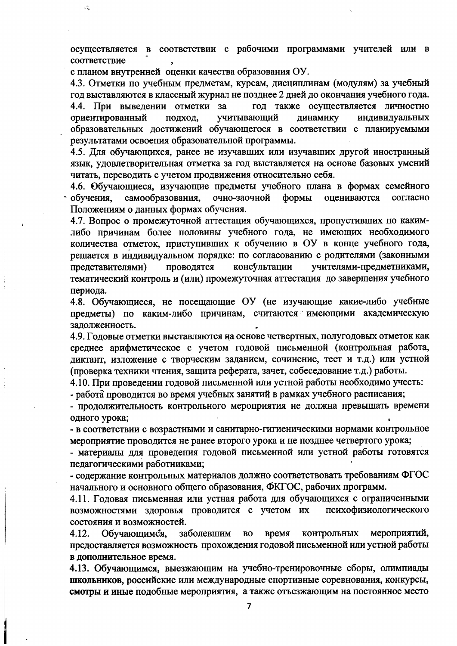осуществляется в соответствии с рабочими программами учителей или в соответствие

с планом внутренней оценки качества образования ОУ.

4.3. Отметки по учебным предметам, курсам, дисциплинам (модулям) за учебный год выставляются в классный журнал не позднее 2 дней до окончания учебного года. 4.4. При выведении отметки за год также осуществляется личностно ориентированный учитывающий динамику индивидуальных подход, образовательных достижений обучающегося в соответствии с планируемыми результатами освоения образовательной программы.

4.5. Для обучающихся, ранее не изучавших или изучавших другой иностранный язык, удовлетворительная отметка за год выставляется на основе базовых умений читать, переводить с учетом продвижения относительно себя.

4.6. Обучающиеся, изучающие предметы учебного плана в формах семейного очно-заочной оцениваются обучения. самообразования, формы согласно Положениям о данных формах обучения.

4.7. Вопрос о промежуточной аттестация обучающихся, пропустивших по какимлибо причинам более половины учебного года, не имеющих необходимого количества отметок, приступивших к обучению в ОУ в конце учебного года, решается в индивидуальном порядке: по согласованию с родителями (законными проводятся представителями) консультации учителями-предметниками, тематический контроль и (или) промежуточная аттестация до завершения учебного периода.

4.8. Обучающиеся, не посещающие ОУ (не изучающие какие-либо учебные предметы) по каким-либо причинам, считаются имеющими академическую задолженность.

4.9. Годовые отметки выставляются на основе четвертных, полугодовых отметок как среднее арифметическое с учетом годовой письменной (контрольная работа, диктант, изложение с творческим заданием, сочинение, тест и т.д.) или устной (проверка техники чтения, защита реферата, зачет, собеседование т.д.) работы.

4.10. При проведении годовой письменной или устной работы необходимо учесть:

- работа проводится во время учебных занятий в рамках учебного расписания;

- продолжительность контрольного мероприятия не должна превышать времени одного урока;

- в соответствии с возрастными и санитарно-гигиеническими нормами контрольное мероприятие проводится не ранее второго урока и не позднее четвертого урока;

- материалы для проведения годовой письменной или устной работы готовятся педагогическими работниками;

- содержание контрольных материалов должно соответствовать требованиям ФГОС начального и основного общего образования, ФКГОС, рабочих программ.

4.11. Годовая письменная или устная работа для обучающихся с ограниченными возможностями здоровья проводится с учетом их психофизиологического состояния и возможностей.

заболевшим 4.12. Обучающимся, **BO** время контрольных мероприятий, предоставляется возможность прохождения годовой письменной или устной работы в дополнительное время.

4.13. Обучающимся, выезжающим на учебно-тренировочные сборы, олимпиады школьников, российские или международные спортивные соревнования, конкурсы, смотры и иные подобные мероприятия, а также отъезжающим на постоянное место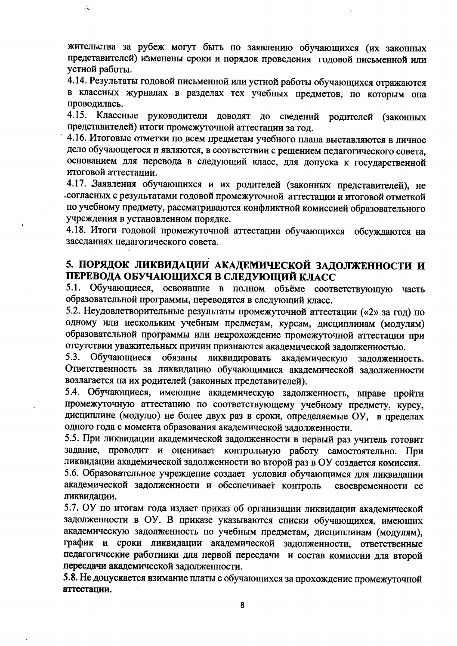жительства за рубеж могут быть по заявлению обучающихся (их законных представителей) изменены сроки и порядок проведения годовой письменной или устной работы.

 $\mathcal{L}$ 

4.14. Результаты годовой письменной или устной работы обучающихся отражаются в классных журналах в разделах тех учебных предметов, по которым она проводилась.

4.15. Классные руководители доводят до сведений родителей (законных представителей) итоги промежуточной аттестации за год.

4.16. Итоговые отметки по всем предметам учебного плана выставляются в личное дело обучающегося и являются, в соответствии с решением педагогического совета, основанием для перевода в следующий класс, для допуска к государственной итоговой аттестации.

4.17. Заявления обучающихся и их родителей (законных представителей), не согласных с результатами годовой промежуточной аттестации и итоговой отметкой по учебному предмету, рассматриваются конфликтной комиссией образовательного учреждения в установленном порядке.

4.18. Итоги годовой промежуточной аттестации обучающихся обсуждаются на заседаниях педагогического совета.

### 5. ПОРЯДОК ЛИКВИДАЦИИ АКАДЕМИЧЕСКОЙ ЗАДОЛЖЕННОСТИ И ПЕРЕВОДА ОБУЧАЮЩИХСЯ В СЛЕДУЮЩИЙ КЛАСС

5.1. Обучающиеся, освоившие в полном объёме соответствующую часть образовательной программы, переводятся в следующий класс.

5.2. Неудовлетворительные результаты промежуточной аттестации («2» за год) по одному или нескольким учебным предметам, курсам, дисциплинам (модулям) образовательной программы или непрохождение промежуточной аттестации при отсутствии уважительных причин признаются академической задолженностью.

5.3. Обучающиеся обязаны ликвидировать академическую задолженность. Ответственность за ликвидацию обучающимися академической задолженности возлагается на их родителей (законных представителей).

5.4. Обучающиеся, имеющие академическую задолженность, вправе пройти промежуточную аттестацию по соответствующему учебному предмету, курсу, дисциплине (модулю) не более двух раз в сроки, определяемые ОУ, в пределах одного года с момента образования академической задолженности.

5.5. При ликвидации академической задолженности в первый раз учитель готовит задание, проводит и оценивает контрольную работу самостоятельно. При ликвидации академической задолженности во второй раз в ОУ создается комиссия.

5.6. Образовательное учреждение создает условия обучающимся для ликвидации академической задолженности и обеспечивает контроль своевременности ее ликвидации.

5.7. ОУ по итогам года издает приказ об организации ликвидации академической задолженности в ОУ. В приказе указываются списки обучающихся, имеющих академическую задолженность по учебным предметам, дисциплинам (модулям), график и сроки ликвидации академической задолженности, ответственные педагогические работники для первой пересдачи и состав комиссии для второй пересдачи академической задолженности.

5.8. Не допускается взимание платы с обучающихся за прохождение промежуточной аттестации.

8